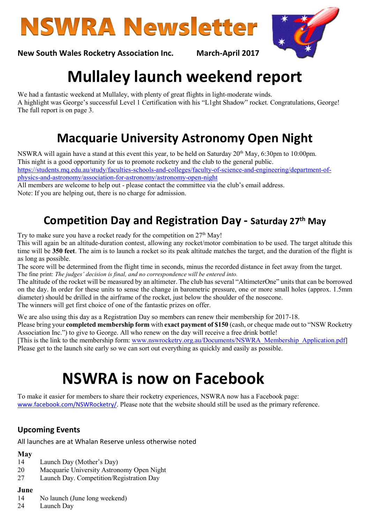



New South Wales Rocketry Association Inc. March-April 2017

# Mullaley launch weekend report

We had a fantastic weekend at Mullaley, with plenty of great flights in light-moderate winds. A highlight was George's successful Level 1 Certification with his "L1ght Shadow" rocket. Congratulations, George! The full report is on page 3.

# Macquarie University Astronomy Open Night

NSWRA will again have a stand at this event this year, to be held on Saturday 20<sup>th</sup> May, 6:30pm to 10:00pm. This night is a good opportunity for us to promote rocketry and the club to the general public. https://students.mq.edu.au/study/faculties-schools-and-colleges/faculty-of-science-and-engineering/department-ofphysics-and-astronomy/association-for-astronomy/astronomy-open-night

All members are welcome to help out - please contact the committee via the club's email address. Note: If you are helping out, there is no charge for admission.

# Competition Day and Registration Day - Saturday 27th May

Try to make sure you have a rocket ready for the competition on  $27<sup>th</sup>$  May!

This will again be an altitude-duration contest, allowing any rocket/motor combination to be used. The target altitude this time will be 350 feet. The aim is to launch a rocket so its peak altitude matches the target, and the duration of the flight is as long as possible.

The score will be determined from the flight time in seconds, minus the recorded distance in feet away from the target. The fine print: The judges' decision is final, and no correspondence will be entered into.

The altitude of the rocket will be measured by an altimeter. The club has several "AltimeterOne" units that can be borrowed on the day. In order for these units to sense the change in barometric pressure, one or more small holes (approx. 1.5mm diameter) should be drilled in the airframe of the rocket, just below the shoulder of the nosecone. The winners will get first choice of one of the fantastic prizes on offer.

We are also using this day as a Registration Day so members can renew their membership for 2017-18.

Please bring your **completed membership form** with **exact payment of \$150** (cash, or cheque made out to "NSW Rocketry Association Inc.") to give to George. All who renew on the day will receive a free drink bottle!

[This is the link to the membership form: www.nswrocketry.org.au/Documents/NSWRA\_Membership\_Application.pdf] Please get to the launch site early so we can sort out everything as quickly and easily as possible.

# NSWRA is now on Facebook

To make it easier for members to share their rocketry experiences, NSWRA now has a Facebook page: www.facebook.com/NSWRocketry/. Please note that the website should still be used as the primary reference.

# Upcoming Events

All launches are at Whalan Reserve unless otherwise noted

### May

- 14 Launch Day (Mother's Day)
- 20 Macquarie University Astronomy Open Night
- 27 Launch Day. Competition/Registration Day

#### June

- 14 No launch (June long weekend)
- 24 Launch Day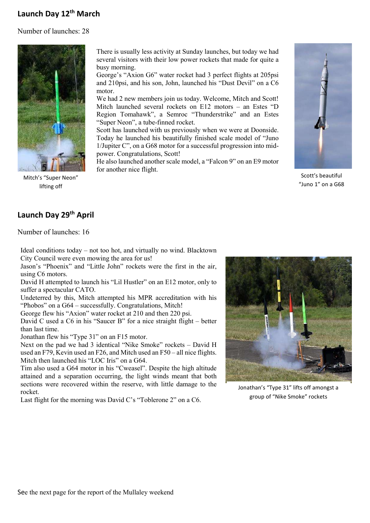# Launch Day 12<sup>th</sup> March

Number of launches: 28



Mitch's "Super Neon" lifting off

There is usually less activity at Sunday launches, but today we had several visitors with their low power rockets that made for quite a busy morning.

George's "Axion G6" water rocket had 3 perfect flights at 205psi and 210psi, and his son, John, launched his "Dust Devil" on a C6 motor.

We had 2 new members join us today. Welcome, Mitch and Scott! Mitch launched several rockets on E12 motors – an Estes "D Region Tomahawk", a Semroc "Thunderstrike" and an Estes "Super Neon", a tube-finned rocket.

Scott has launched with us previously when we were at Doonside. Today he launched his beautifully finished scale model of "Juno 1/Jupiter C", on a G68 motor for a successful progression into midpower. Congratulations, Scott!

He also launched another scale model, a "Falcon 9" on an E9 motor for another nice flight.



Scott's beautiful "Juno 1" on a G68

### Launch Day 29<sup>th</sup> April

Number of launches: 16

Ideal conditions today – not too hot, and virtually no wind. Blacktown City Council were even mowing the area for us!

Jason's "Phoenix" and "Little John" rockets were the first in the air, using C6 motors.

David H attempted to launch his "Lil Hustler" on an E12 motor, only to suffer a spectacular CATO.

Undeterred by this, Mitch attempted his MPR accreditation with his "Phobos" on a G64 – successfully. Congratulations, Mitch!

George flew his "Axion" water rocket at 210 and then 220 psi.

David C used a C6 in his "Saucer B" for a nice straight flight – better than last time.

Jonathan flew his "Type 31" on an F15 motor.

Next on the pad we had 3 identical "Nike Smoke" rockets – David H used an F79, Kevin used an F26, and Mitch used an F50 – all nice flights. Mitch then launched his "LOC Iris" on a G64.

Tim also used a G64 motor in his "Cweasel". Despite the high altitude attained and a separation occurring, the light winds meant that both sections were recovered within the reserve, with little damage to the rocket.

Last flight for the morning was David C's "Toblerone 2" on a C6.



Jonathan's "Type 31" lifts off amongst a group of "Nike Smoke" rockets